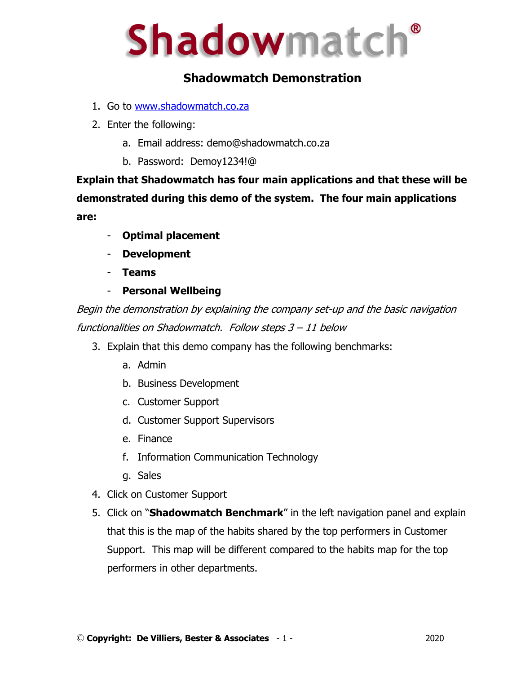# **Shadowmatch®**

# **Shadowmatch Demonstration**

- 1. Go to www.shadowmatch.co.za
- 2. Enter the following:
	- a. Email address: demo@shadowmatch.co.za
	- b. Password: Demoy1234!@

**Explain that Shadowmatch has four main applications and that these will be demonstrated during this demo of the system. The four main applications are:**

- **Optimal placement**
- **Development**
- **Teams**
- **Personal Wellbeing**

Begin the demonstration by explaining the company set-up and the basic navigation functionalities on Shadowmatch. Follow steps 3 – 11 below

- 3. Explain that this demo company has the following benchmarks:
	- a. Admin
	- b. Business Development
	- c. Customer Support
	- d. Customer Support Supervisors
	- e. Finance
	- f. Information Communication Technology
	- g. Sales
- 4. Click on Customer Support
- 5. Click on "**Shadowmatch Benchmark**" in the left navigation panel and explain that this is the map of the habits shared by the top performers in Customer Support. This map will be different compared to the habits map for the top performers in other departments.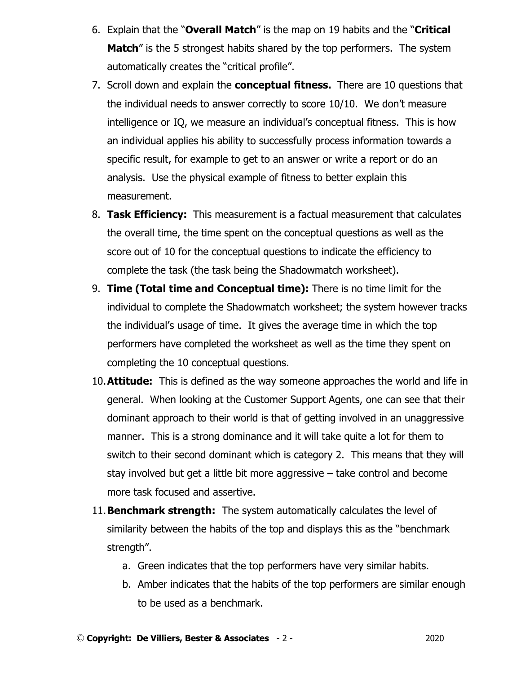- 6. Explain that the "**Overall Match**" is the map on 19 habits and the "**Critical Match**" is the 5 strongest habits shared by the top performers. The system automatically creates the "critical profile".
- 7. Scroll down and explain the **conceptual fitness.** There are 10 questions that the individual needs to answer correctly to score 10/10. We don't measure intelligence or IQ, we measure an individual's conceptual fitness. This is how an individual applies his ability to successfully process information towards a specific result, for example to get to an answer or write a report or do an analysis. Use the physical example of fitness to better explain this measurement.
- 8. **Task Efficiency:** This measurement is a factual measurement that calculates the overall time, the time spent on the conceptual questions as well as the score out of 10 for the conceptual questions to indicate the efficiency to complete the task (the task being the Shadowmatch worksheet).
- 9. **Time (Total time and Conceptual time):** There is no time limit for the individual to complete the Shadowmatch worksheet; the system however tracks the individual's usage of time. It gives the average time in which the top performers have completed the worksheet as well as the time they spent on completing the 10 conceptual questions.
- 10.**Attitude:** This is defined as the way someone approaches the world and life in general. When looking at the Customer Support Agents, one can see that their dominant approach to their world is that of getting involved in an unaggressive manner. This is a strong dominance and it will take quite a lot for them to switch to their second dominant which is category 2. This means that they will stay involved but get a little bit more aggressive – take control and become more task focused and assertive.
- 11.**Benchmark strength:** The system automatically calculates the level of similarity between the habits of the top and displays this as the "benchmark strength".
	- a. Green indicates that the top performers have very similar habits.
	- b. Amber indicates that the habits of the top performers are similar enough to be used as a benchmark.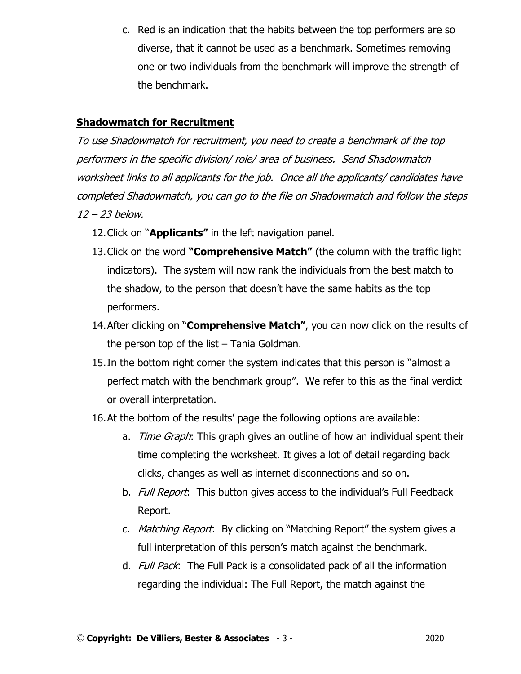c. Red is an indication that the habits between the top performers are so diverse, that it cannot be used as a benchmark. Sometimes removing one or two individuals from the benchmark will improve the strength of the benchmark.

#### **Shadowmatch for Recruitment**

To use Shadowmatch for recruitment, you need to create a benchmark of the top performers in the specific division/ role/ area of business. Send Shadowmatch worksheet links to all applicants for the job. Once all the applicants/ candidates have completed Shadowmatch, you can go to the file on Shadowmatch and follow the steps 12 – 23 below.

- 12.Click on "**Applicants"** in the left navigation panel.
- 13.Click on the word **"Comprehensive Match"** (the column with the traffic light indicators). The system will now rank the individuals from the best match to the shadow, to the person that doesn't have the same habits as the top performers.
- 14.After clicking on "**Comprehensive Match"**, you can now click on the results of the person top of the list – Tania Goldman.
- 15.In the bottom right corner the system indicates that this person is "almost a perfect match with the benchmark group". We refer to this as the final verdict or overall interpretation.
- 16.At the bottom of the results' page the following options are available:
	- a. *Time Graph*: This graph gives an outline of how an individual spent their time completing the worksheet. It gives a lot of detail regarding back clicks, changes as well as internet disconnections and so on.
	- b. Full Report: This button gives access to the individual's Full Feedback Report.
	- c. *Matching Report*: By clicking on "Matching Report" the system gives a full interpretation of this person's match against the benchmark.
	- d. Full Pack: The Full Pack is a consolidated pack of all the information regarding the individual: The Full Report, the match against the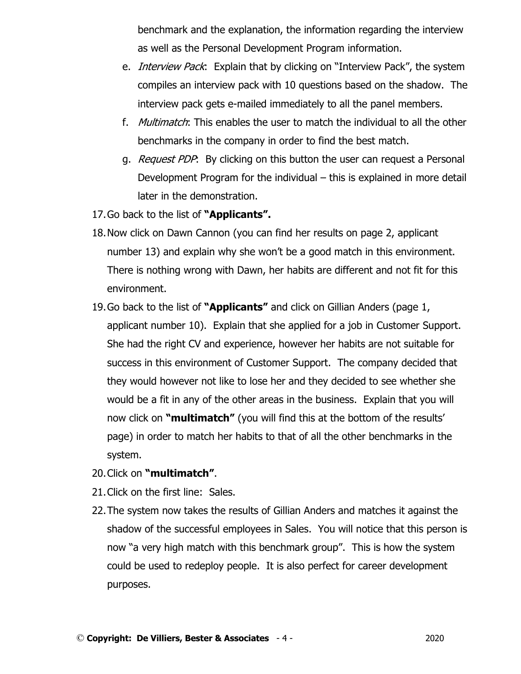benchmark and the explanation, the information regarding the interview as well as the Personal Development Program information.

- e. *Interview Pack*: Explain that by clicking on "Interview Pack", the system compiles an interview pack with 10 questions based on the shadow. The interview pack gets e-mailed immediately to all the panel members.
- f. Multimatch: This enables the user to match the individual to all the other benchmarks in the company in order to find the best match.
- g. *Request PDP*: By clicking on this button the user can request a Personal Development Program for the individual – this is explained in more detail later in the demonstration.
- 17.Go back to the list of **"Applicants".**
- 18.Now click on Dawn Cannon (you can find her results on page 2, applicant number 13) and explain why she won't be a good match in this environment. There is nothing wrong with Dawn, her habits are different and not fit for this environment.
- 19.Go back to the list of **"Applicants"** and click on Gillian Anders (page 1, applicant number 10). Explain that she applied for a job in Customer Support. She had the right CV and experience, however her habits are not suitable for success in this environment of Customer Support. The company decided that they would however not like to lose her and they decided to see whether she would be a fit in any of the other areas in the business. Explain that you will now click on **"multimatch"** (you will find this at the bottom of the results' page) in order to match her habits to that of all the other benchmarks in the system.
- 20.Click on **"multimatch"**.
- 21.Click on the first line: Sales.
- 22.The system now takes the results of Gillian Anders and matches it against the shadow of the successful employees in Sales. You will notice that this person is now "a very high match with this benchmark group". This is how the system could be used to redeploy people. It is also perfect for career development purposes.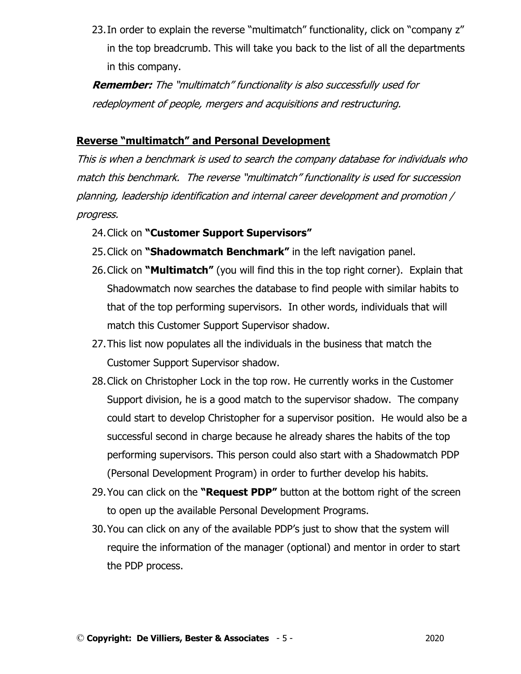23. In order to explain the reverse "multimatch" functionality, click on "company z" in the top breadcrumb. This will take you back to the list of all the departments in this company.

**Remember:** The "multimatch" functionality is also successfully used for redeployment of people, mergers and acquisitions and restructuring.

## **Reverse "multimatch" and Personal Development**

This is when a benchmark is used to search the company database for individuals who match this benchmark. The reverse "multimatch" functionality is used for succession planning, leadership identification and internal career development and promotion / progress.

- 24.Click on **"Customer Support Supervisors"**
- 25.Click on **"Shadowmatch Benchmark"** in the left navigation panel.
- 26.Click on **"Multimatch"** (you will find this in the top right corner). Explain that Shadowmatch now searches the database to find people with similar habits to that of the top performing supervisors. In other words, individuals that will match this Customer Support Supervisor shadow.
- 27.This list now populates all the individuals in the business that match the Customer Support Supervisor shadow.
- 28.Click on Christopher Lock in the top row. He currently works in the Customer Support division, he is a good match to the supervisor shadow. The company could start to develop Christopher for a supervisor position. He would also be a successful second in charge because he already shares the habits of the top performing supervisors. This person could also start with a Shadowmatch PDP (Personal Development Program) in order to further develop his habits.
- 29.You can click on the **"Request PDP"** button at the bottom right of the screen to open up the available Personal Development Programs.
- 30.You can click on any of the available PDP's just to show that the system will require the information of the manager (optional) and mentor in order to start the PDP process.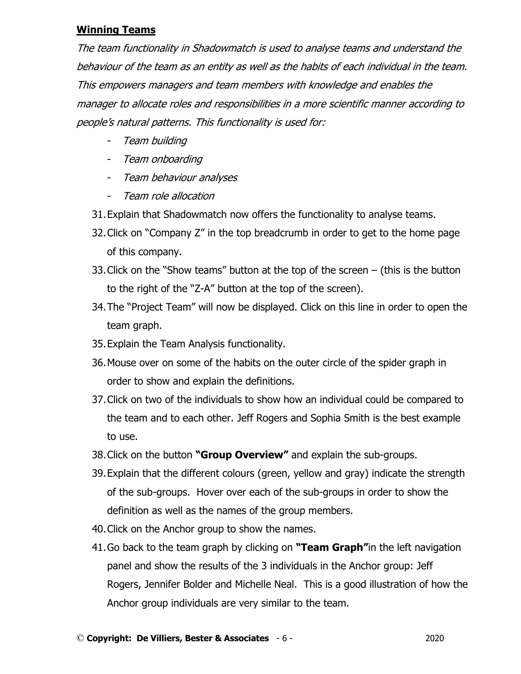#### **Winning Teams**

The team functionality in Shadowmatch is used to analyse teams and understand the behaviour of the team as an entity as well as the habits of each individual in the team. This empowers managers and team members with knowledge and enables the manager to allocate roles and responsibilities in a more scientific manner according to people's natural patterns. This functionality is used for:

- Team building
- Team onboarding
- Team behaviour analyses
- Team role allocation
- 31.Explain that Shadowmatch now offers the functionality to analyse teams.
- 32.Click on "Company Z" in the top breadcrumb in order to get to the home page of this company.
- 33.Click on the "Show teams" button at the top of the screen (this is the button to the right of the "Z-A" button at the top of the screen).
- 34.The "Project Team" will now be displayed. Click on this line in order to open the team graph.
- 35.Explain the Team Analysis functionality.
- 36.Mouse over on some of the habits on the outer circle of the spider graph in order to show and explain the definitions.
- 37.Click on two of the individuals to show how an individual could be compared to the team and to each other. Jeff Rogers and Sophia Smith is the best example to use.
- 38.Click on the button **"Group Overview"** and explain the sub-groups.
- 39.Explain that the different colours (green, yellow and gray) indicate the strength of the sub-groups. Hover over each of the sub-groups in order to show the definition as well as the names of the group members.
- 40.Click on the Anchor group to show the names.
- 41.Go back to the team graph by clicking on **"Team Graph"**in the left navigation panel and show the results of the 3 individuals in the Anchor group: Jeff Rogers, Jennifer Bolder and Michelle Neal. This is a good illustration of how the Anchor group individuals are very similar to the team.